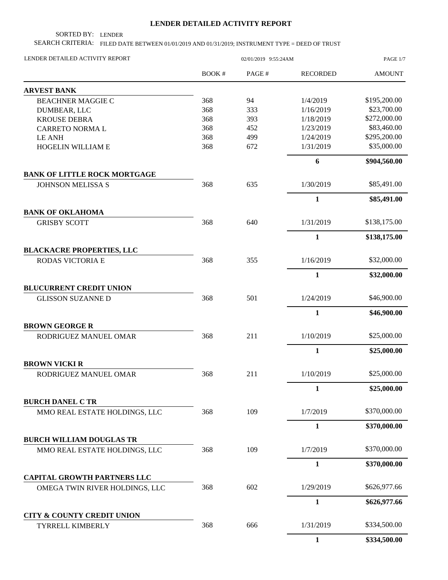## **LENDER DETAILED ACTIVITY REPORT**

SORTED BY: LENDER

SEARCH CRITERIA: FILED DATE BETWEEN 01/01/2019 AND 01/31/2019; INSTRUMENT TYPE = DEED OF TRUST

| LENDER DETAILED ACTIVITY REPORT                                  |       | 02/01/2019 9:55:24AM |                 |               |
|------------------------------------------------------------------|-------|----------------------|-----------------|---------------|
|                                                                  | BOOK# | PAGE#                | <b>RECORDED</b> | <b>AMOUNT</b> |
| <b>ARVEST BANK</b>                                               |       |                      |                 |               |
| <b>BEACHNER MAGGIE C</b>                                         | 368   | 94                   | 1/4/2019        | \$195,200.00  |
| DUMBEAR, LLC                                                     | 368   | 333                  | 1/16/2019       | \$23,700.00   |
| <b>KROUSE DEBRA</b>                                              | 368   | 393                  | 1/18/2019       | \$272,000.00  |
| <b>CARRETO NORMAL</b>                                            | 368   | 452                  | 1/23/2019       | \$83,460.00   |
| <b>LE ANH</b>                                                    | 368   | 499                  | 1/24/2019       | \$295,200.00  |
| HOGELIN WILLIAM E                                                | 368   | 672                  | 1/31/2019       | \$35,000.00   |
|                                                                  |       |                      | 6               | \$904,560.00  |
| <b>BANK OF LITTLE ROCK MORTGAGE</b>                              |       |                      |                 |               |
| <b>JOHNSON MELISSA S</b>                                         | 368   | 635                  | 1/30/2019       | \$85,491.00   |
|                                                                  |       |                      | 1               | \$85,491.00   |
| <b>BANK OF OKLAHOMA</b><br><b>GRISBY SCOTT</b>                   | 368   | 640                  | 1/31/2019       | \$138,175.00  |
|                                                                  |       |                      | $\mathbf{1}$    | \$138,175.00  |
| <b>BLACKACRE PROPERTIES, LLC</b>                                 |       |                      |                 |               |
| RODAS VICTORIA E                                                 | 368   | 355                  | 1/16/2019       | \$32,000.00   |
|                                                                  |       |                      | $\mathbf{1}$    | \$32,000.00   |
| <b>BLUCURRENT CREDIT UNION</b>                                   |       |                      |                 |               |
| <b>GLISSON SUZANNE D</b>                                         | 368   | 501                  | 1/24/2019       | \$46,900.00   |
|                                                                  |       |                      | $\mathbf{1}$    | \$46,900.00   |
| <b>BROWN GEORGE R</b><br>RODRIGUEZ MANUEL OMAR                   | 368   | 211                  | 1/10/2019       | \$25,000.00   |
|                                                                  |       |                      | $\mathbf{1}$    | \$25,000.00   |
| <b>BROWN VICKI R</b>                                             |       |                      |                 |               |
| RODRIGUEZ MANUEL OMAR                                            | 368   | 211                  | 1/10/2019       | \$25,000.00   |
|                                                                  |       |                      | $\mathbf{1}$    | \$25,000.00   |
| <b>BURCH DANEL C TR</b>                                          |       |                      |                 |               |
| MMO REAL ESTATE HOLDINGS, LLC                                    | 368   | 109                  | 1/7/2019        | \$370,000.00  |
|                                                                  |       |                      | $\mathbf{1}$    | \$370,000.00  |
| <b>BURCH WILLIAM DOUGLAS TR</b><br>MMO REAL ESTATE HOLDINGS, LLC | 368   | 109                  | 1/7/2019        | \$370,000.00  |
|                                                                  |       |                      | $\mathbf{1}$    | \$370,000.00  |
| <b>CAPITAL GROWTH PARTNERS LLC</b>                               |       |                      |                 |               |
| OMEGA TWIN RIVER HOLDINGS, LLC                                   | 368   | 602                  | 1/29/2019       | \$626,977.66  |
|                                                                  |       |                      | $\mathbf{1}$    | \$626,977.66  |
| <b>CITY &amp; COUNTY CREDIT UNION</b><br>TYRRELL KIMBERLY        | 368   | 666                  | 1/31/2019       | \$334,500.00  |
|                                                                  |       |                      | $\mathbf{1}$    | \$334,500.00  |
|                                                                  |       |                      |                 |               |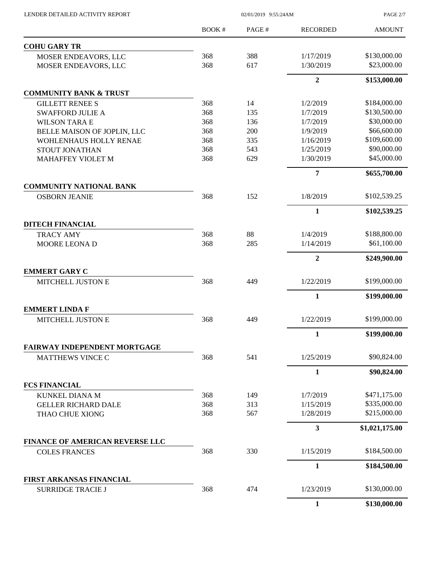| LENDER DETAILED ACTIVITY REPORT                        | 02/01/2019 9:55:24AM |       |                         | PAGE 2/7       |  |
|--------------------------------------------------------|----------------------|-------|-------------------------|----------------|--|
|                                                        | <b>BOOK#</b>         | PAGE# | <b>RECORDED</b>         | <b>AMOUNT</b>  |  |
| <b>COHU GARY TR</b>                                    |                      |       |                         |                |  |
| MOSER ENDEAVORS, LLC                                   | 368                  | 388   | 1/17/2019               | \$130,000.00   |  |
| MOSER ENDEAVORS, LLC                                   | 368                  | 617   | 1/30/2019               | \$23,000.00    |  |
|                                                        |                      |       | $\overline{2}$          | \$153,000.00   |  |
| <b>COMMUNITY BANK &amp; TRUST</b>                      |                      |       |                         |                |  |
| <b>GILLETT RENEE S</b>                                 | 368                  | 14    | 1/2/2019                | \$184,000.00   |  |
| <b>SWAFFORD JULIE A</b>                                | 368                  | 135   | 1/7/2019                | \$130,500.00   |  |
| <b>WILSON TARA E</b>                                   | 368                  | 136   | 1/7/2019                | \$30,000.00    |  |
| BELLE MAISON OF JOPLIN, LLC                            | 368                  | 200   | 1/9/2019                | \$66,600.00    |  |
| WOHLENHAUS HOLLY RENAE                                 | 368                  | 335   | 1/16/2019               | \$109,600.00   |  |
| STOUT JONATHAN                                         | 368                  | 543   | 1/25/2019               | \$90,000.00    |  |
| <b>MAHAFFEY VIOLET M</b>                               | 368                  | 629   | 1/30/2019               | \$45,000.00    |  |
|                                                        |                      |       | 7                       | \$655,700.00   |  |
| <b>COMMUNITY NATIONAL BANK</b><br><b>OSBORN JEANIE</b> | 368                  | 152   | 1/8/2019                | \$102,539.25   |  |
|                                                        |                      |       | $\mathbf{1}$            | \$102,539.25   |  |
| <b>DITECH FINANCIAL</b>                                |                      |       |                         |                |  |
| <b>TRACY AMY</b>                                       | 368                  | 88    | 1/4/2019                | \$188,800.00   |  |
| MOORE LEONA D                                          | 368                  | 285   | 1/14/2019               | \$61,100.00    |  |
|                                                        |                      |       |                         |                |  |
|                                                        |                      |       | $\overline{2}$          | \$249,900.00   |  |
| <b>EMMERT GARY C</b><br>MITCHELL JUSTON E              | 368                  | 449   | 1/22/2019               | \$199,000.00   |  |
|                                                        |                      |       | 1                       | \$199,000.00   |  |
| <b>EMMERT LINDA F</b>                                  |                      |       |                         |                |  |
| MITCHELL JUSTON E                                      | 368                  | 449   | 1/22/2019               | \$199,000.00   |  |
|                                                        |                      |       | $\mathbf{1}$            | \$199,000.00   |  |
| <b>FAIRWAY INDEPENDENT MORTGAGE</b>                    |                      |       |                         |                |  |
| <b>MATTHEWS VINCE C</b>                                | 368                  | 541   | 1/25/2019               | \$90,824.00    |  |
|                                                        |                      |       | 1                       | \$90,824.00    |  |
| <b>FCS FINANCIAL</b>                                   |                      |       |                         |                |  |
| <b>KUNKEL DIANA M</b>                                  | 368                  | 149   | 1/7/2019                | \$471,175.00   |  |
| <b>GELLER RICHARD DALE</b>                             | 368                  | 313   | 1/15/2019               | \$335,000.00   |  |
| THAO CHUE XIONG                                        | 368                  | 567   | 1/28/2019               | \$215,000.00   |  |
|                                                        |                      |       | $\overline{\mathbf{3}}$ | \$1,021,175.00 |  |
| <b>FINANCE OF AMERICAN REVERSE LLC</b>                 |                      |       |                         |                |  |
| <b>COLES FRANCES</b>                                   | 368                  | 330   | 1/15/2019               | \$184,500.00   |  |
|                                                        |                      |       | $\mathbf{1}$            | \$184,500.00   |  |
| <b>FIRST ARKANSAS FINANCIAL</b>                        |                      |       |                         |                |  |
| <b>SURRIDGE TRACIE J</b>                               | 368                  | 474   | 1/23/2019               | \$130,000.00   |  |
|                                                        |                      |       | 1                       | \$130,000.00   |  |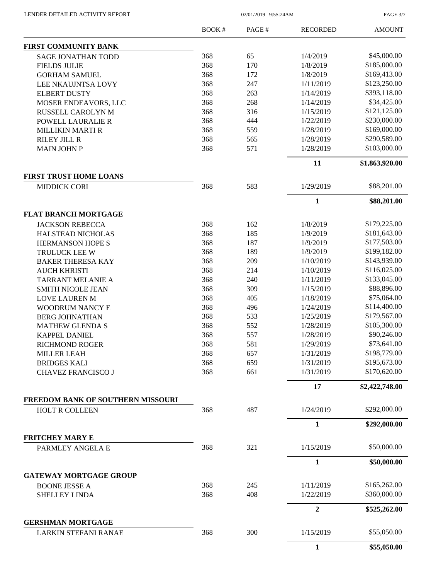02/01/2019 9:55:24AM

PAGE 3/7

|                                                            | <b>BOOK#</b> | PAGE# | <b>RECORDED</b> | <b>AMOUNT</b>  |
|------------------------------------------------------------|--------------|-------|-----------------|----------------|
| <b>FIRST COMMUNITY BANK</b>                                |              |       |                 |                |
| <b>SAGE JONATHAN TODD</b>                                  | 368          | 65    | 1/4/2019        | \$45,000.00    |
| <b>FIELDS JULIE</b>                                        | 368          | 170   | 1/8/2019        | \$185,000.00   |
| <b>GORHAM SAMUEL</b>                                       | 368          | 172   | 1/8/2019        | \$169,413.00   |
| LEE NKAUJNTSA LOVY                                         | 368          | 247   | 1/11/2019       | \$123,250.00   |
| <b>ELBERT DUSTY</b>                                        | 368          | 263   | 1/14/2019       | \$393,118.00   |
| MOSER ENDEAVORS, LLC                                       | 368          | 268   | 1/14/2019       | \$34,425.00    |
| RUSSELL CAROLYN M                                          | 368          | 316   | 1/15/2019       | \$121,125.00   |
| POWELL LAURALIE R                                          | 368          | 444   | 1/22/2019       | \$230,000.00   |
| <b>MILLIKIN MARTI R</b>                                    | 368          | 559   | 1/28/2019       | \$169,000.00   |
| <b>RILEY JILL R</b>                                        | 368          | 565   | 1/28/2019       | \$290,589.00   |
| <b>MAIN JOHN P</b>                                         | 368          | 571   | 1/28/2019       | \$103,000.00   |
|                                                            |              |       | 11              | \$1,863,920.00 |
| <b>FIRST TRUST HOME LOANS</b>                              |              |       |                 |                |
| <b>MIDDICK CORI</b>                                        | 368          | 583   | 1/29/2019       | \$88,201.00    |
|                                                            |              |       | $\mathbf{1}$    | \$88,201.00    |
| FLAT BRANCH MORTGAGE                                       |              |       |                 |                |
| <b>JACKSON REBECCA</b>                                     | 368          | 162   | 1/8/2019        | \$179,225.00   |
| <b>HALSTEAD NICHOLAS</b>                                   | 368          | 185   | 1/9/2019        | \$181,643.00   |
| <b>HERMANSON HOPE S</b>                                    | 368          | 187   | 1/9/2019        | \$177,503.00   |
| TRULUCK LEE W                                              | 368          | 189   | 1/9/2019        | \$199,182.00   |
| <b>BAKER THERESA KAY</b>                                   | 368          | 209   | 1/10/2019       | \$143,939.00   |
| <b>AUCH KHRISTI</b>                                        | 368          | 214   | 1/10/2019       | \$116,025.00   |
| <b>TARRANT MELANIE A</b>                                   | 368          | 240   | 1/11/2019       | \$133,045.00   |
| <b>SMITH NICOLE JEAN</b>                                   | 368          | 309   | 1/15/2019       | \$88,896.00    |
| <b>LOVE LAUREN M</b>                                       | 368          | 405   | 1/18/2019       | \$75,064.00    |
| WOODRUM NANCY E                                            | 368          | 496   | 1/24/2019       | \$114,400.00   |
| <b>BERG JOHNATHAN</b>                                      | 368          | 533   | 1/25/2019       | \$179,567.00   |
| <b>MATHEW GLENDA S</b>                                     | 368          | 552   | 1/28/2019       | \$105,300.00   |
| <b>KAPPEL DANIEL</b>                                       | 368          | 557   | 1/28/2019       | \$90,246.00    |
| <b>RICHMOND ROGER</b>                                      | 368          | 581   | 1/29/2019       | \$73,641.00    |
| <b>MILLER LEAH</b>                                         | 368          | 657   | 1/31/2019       | \$198,779.00   |
| <b>BRIDGES KALI</b>                                        | 368          | 659   | 1/31/2019       | \$195,673.00   |
| <b>CHAVEZ FRANCISCO J</b>                                  | 368          | 661   | 1/31/2019       | \$170,620.00   |
|                                                            |              |       | 17              | \$2,422,748.00 |
| <b>FREEDOM BANK OF SOUTHERN MISSOURI</b><br>HOLT R COLLEEN | 368          | 487   | 1/24/2019       | \$292,000.00   |
|                                                            |              |       | $\mathbf{1}$    | \$292,000.00   |
| <b>FRITCHEY MARY E</b>                                     |              |       |                 |                |
| PARMLEY ANGELA E                                           | 368          | 321   | 1/15/2019       | \$50,000.00    |
|                                                            |              |       | 1               | \$50,000.00    |
| <b>GATEWAY MORTGAGE GROUP</b>                              |              |       |                 |                |
| <b>BOONE JESSE A</b>                                       | 368          | 245   | 1/11/2019       | \$165,262.00   |
| <b>SHELLEY LINDA</b>                                       | 368          | 408   | 1/22/2019       | \$360,000.00   |
|                                                            |              |       | $\overline{2}$  | \$525,262.00   |
| <b>GERSHMAN MORTGAGE</b><br><b>LARKIN STEFANI RANAE</b>    | 368          | 300   | 1/15/2019       | \$55,050.00    |
|                                                            |              |       | $\mathbf{1}$    | \$55,050.00    |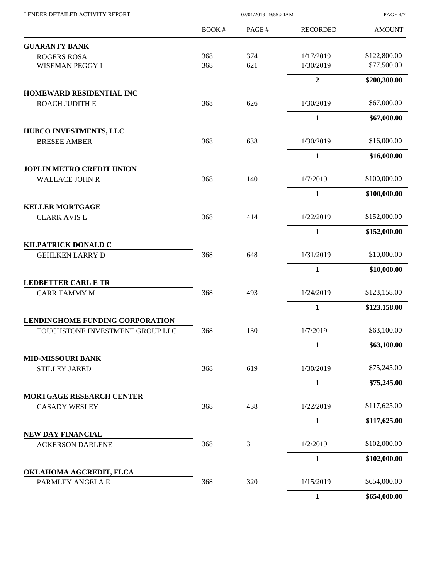| LENDER DETAILED ACTIVITY REPORT                  |                         | 02/01/2019 9:55:24AM |                  |               |
|--------------------------------------------------|-------------------------|----------------------|------------------|---------------|
|                                                  | BOOK#                   | PAGE#                | <b>RECORDED</b>  | <b>AMOUNT</b> |
| <b>GUARANTY BANK</b>                             |                         |                      |                  |               |
| <b>ROGERS ROSA</b>                               | 368                     | 374                  | 1/17/2019        | \$122,800.00  |
| WISEMAN PEGGY L                                  | 368                     | 621                  | 1/30/2019        | \$77,500.00   |
|                                                  |                         |                      | $\boldsymbol{2}$ | \$200,300.00  |
| HOMEWARD RESIDENTIAL INC                         |                         |                      |                  |               |
| ROACH JUDITH E                                   | 368                     | 626                  | 1/30/2019        | \$67,000.00   |
|                                                  |                         |                      | $\mathbf{1}$     | \$67,000.00   |
| HUBCO INVESTMENTS, LLC                           | 368                     | 638                  | 1/30/2019        | \$16,000.00   |
| <b>BRESEE AMBER</b>                              |                         |                      | 1                | \$16,000.00   |
| <b>JOPLIN METRO CREDIT UNION</b>                 |                         |                      |                  |               |
| <b>WALLACE JOHN R</b>                            | 368                     | 140                  | 1/7/2019         | \$100,000.00  |
|                                                  |                         |                      | $\mathbf{1}$     | \$100,000.00  |
| <b>KELLER MORTGAGE</b>                           |                         |                      |                  |               |
| <b>CLARK AVIS L</b>                              | 368                     | 414                  | 1/22/2019        | \$152,000.00  |
| <b>KILPATRICK DONALD C</b>                       |                         |                      | $\mathbf{1}$     | \$152,000.00  |
| <b>GEHLKEN LARRY D</b>                           | 368                     | 648                  | 1/31/2019        | \$10,000.00   |
|                                                  |                         |                      | 1                | \$10,000.00   |
| <b>LEDBETTER CARL E TR</b>                       |                         |                      |                  |               |
| <b>CARR TAMMY M</b>                              | 368                     | 493                  | 1/24/2019        | \$123,158.00  |
|                                                  |                         |                      | $\mathbf{1}$     | \$123,158.00  |
| <b>LENDINGHOME FUNDING CORPORATION</b>           |                         |                      |                  |               |
| TOUCHSTONE INVESTMENT GROUP LLC                  | 368                     | 130                  | 1/7/2019         | \$63,100.00   |
|                                                  |                         |                      | $\mathbf{1}$     | \$63,100.00   |
| <b>MID-MISSOURI BANK</b><br><b>STILLEY JARED</b> | 368<br>619<br>1/30/2019 |                      | \$75,245.00      |               |
|                                                  |                         |                      | $\mathbf{1}$     | \$75,245.00   |
| <b>MORTGAGE RESEARCH CENTER</b>                  |                         |                      |                  |               |
| <b>CASADY WESLEY</b>                             | 368                     | 438                  | 1/22/2019        | \$117,625.00  |
|                                                  |                         |                      | $\mathbf{1}$     | \$117,625.00  |
| <b>NEW DAY FINANCIAL</b>                         |                         |                      |                  |               |
| <b>ACKERSON DARLENE</b>                          | 368                     | 3                    | 1/2/2019         | \$102,000.00  |
|                                                  |                         |                      | $\mathbf{1}$     | \$102,000.00  |
| OKLAHOMA AGCREDIT, FLCA<br>PARMLEY ANGELA E      | 368                     | 320                  | 1/15/2019        | \$654,000.00  |
|                                                  |                         |                      | $\mathbf{1}$     | \$654,000.00  |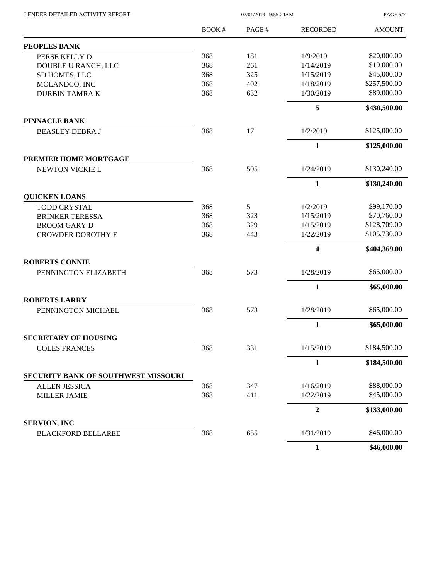02/01/2019 9:55:24AM

PAGE 5/7

|                                     | <b>BOOK#</b> | PAGE# | <b>RECORDED</b>         | <b>AMOUNT</b> |
|-------------------------------------|--------------|-------|-------------------------|---------------|
| <b>PEOPLES BANK</b>                 |              |       |                         |               |
| PERSE KELLY D                       | 368          | 181   | 1/9/2019                | \$20,000.00   |
| DOUBLE U RANCH, LLC                 | 368          | 261   | 1/14/2019               | \$19,000.00   |
| SD HOMES, LLC                       | 368          | 325   | 1/15/2019               | \$45,000.00   |
| MOLANDCO, INC                       | 368          | 402   | 1/18/2019               | \$257,500.00  |
| <b>DURBIN TAMRAK</b>                | 368          | 632   | 1/30/2019               | \$89,000.00   |
|                                     |              |       | 5                       | \$430,500.00  |
| <b>PINNACLE BANK</b>                |              |       |                         |               |
| <b>BEASLEY DEBRA J</b>              | 368          | 17    | 1/2/2019                | \$125,000.00  |
|                                     |              |       | $\mathbf{1}$            | \$125,000.00  |
| PREMIER HOME MORTGAGE               |              |       |                         |               |
| NEWTON VICKIE L                     | 368          | 505   | 1/24/2019               | \$130,240.00  |
|                                     |              |       | 1                       | \$130,240.00  |
| <b>QUICKEN LOANS</b>                |              |       |                         |               |
| <b>TODD CRYSTAL</b>                 | 368          | 5     | 1/2/2019                | \$99,170.00   |
| <b>BRINKER TERESSA</b>              | 368          | 323   | 1/15/2019               | \$70,760.00   |
| <b>BROOM GARY D</b>                 | 368          | 329   | 1/15/2019               | \$128,709.00  |
| <b>CROWDER DOROTHY E</b>            | 368          | 443   | 1/22/2019               | \$105,730.00  |
|                                     |              |       | $\overline{\mathbf{4}}$ | \$404,369.00  |
| <b>ROBERTS CONNIE</b>               |              |       |                         |               |
| PENNINGTON ELIZABETH                | 368          | 573   | 1/28/2019               | \$65,000.00   |
|                                     |              |       | $\mathbf{1}$            | \$65,000.00   |
| <b>ROBERTS LARRY</b>                |              |       |                         |               |
| PENNINGTON MICHAEL                  | 368          | 573   | 1/28/2019               | \$65,000.00   |
|                                     |              |       | $\mathbf{1}$            | \$65,000.00   |
| <b>SECRETARY OF HOUSING</b>         |              |       |                         |               |
| <b>COLES FRANCES</b>                | 368          | 331   | 1/15/2019               | \$184,500.00  |
|                                     |              |       | $\mathbf{1}$            | \$184,500.00  |
| SECURITY BANK OF SOUTHWEST MISSOURI |              |       |                         |               |
| <b>ALLEN JESSICA</b>                | 368          | 347   | 1/16/2019               | \$88,000.00   |
| <b>MILLER JAMIE</b>                 | 368          | 411   | 1/22/2019               | \$45,000.00   |
|                                     |              |       | $\boldsymbol{2}$        | \$133,000.00  |
| <b>SERVION, INC</b>                 |              |       |                         |               |
| <b>BLACKFORD BELLAREE</b>           | 368          | 655   | 1/31/2019               | \$46,000.00   |
|                                     |              |       | 1                       | \$46,000.00   |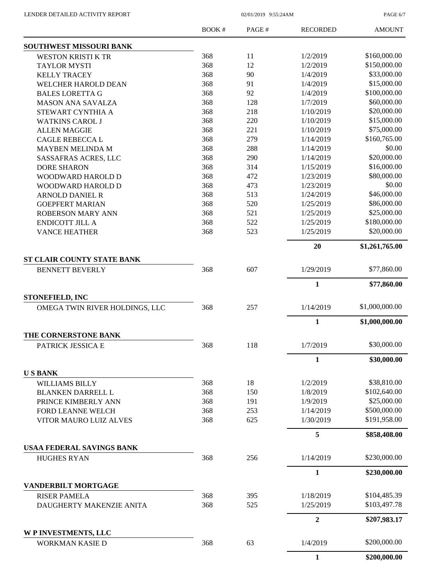PAGE 6/7

|                                                          | BOOK# | PAGE# | <b>RECORDED</b>  | <b>AMOUNT</b>  |
|----------------------------------------------------------|-------|-------|------------------|----------------|
| SOUTHWEST MISSOURI BANK                                  |       |       |                  |                |
| WESTON KRISTI K TR                                       | 368   | 11    | 1/2/2019         | \$160,000.00   |
| <b>TAYLOR MYSTI</b>                                      | 368   | 12    | 1/2/2019         | \$150,000.00   |
| <b>KELLY TRACEY</b>                                      | 368   | 90    | 1/4/2019         | \$33,000.00    |
| WELCHER HAROLD DEAN                                      | 368   | 91    | 1/4/2019         | \$15,000.00    |
| <b>BALES LORETTA G</b>                                   | 368   | 92    | 1/4/2019         | \$100,000.00   |
| <b>MASON ANA SAVALZA</b>                                 | 368   | 128   | 1/7/2019         | \$60,000.00    |
| STEWART CYNTHIA A                                        | 368   | 218   | 1/10/2019        | \$20,000.00    |
| <b>WATKINS CAROL J</b>                                   | 368   | 220   | 1/10/2019        | \$15,000.00    |
| <b>ALLEN MAGGIE</b>                                      | 368   | 221   | 1/10/2019        | \$75,000.00    |
| <b>CAGLE REBECCA L</b>                                   | 368   | 279   | 1/14/2019        | \$160,765.00   |
| MAYBEN MELINDA M                                         | 368   | 288   | 1/14/2019        | \$0.00         |
| SASSAFRAS ACRES, LLC                                     | 368   | 290   | 1/14/2019        | \$20,000.00    |
| <b>DORE SHARON</b>                                       | 368   | 314   | 1/15/2019        | \$16,000.00    |
| WOODWARD HAROLD D                                        | 368   | 472   | 1/23/2019        | \$80,000.00    |
| WOODWARD HAROLD D                                        | 368   | 473   | 1/23/2019        | \$0.00         |
| <b>ARNOLD DANIEL R</b>                                   | 368   | 513   | 1/24/2019        | \$46,000.00    |
| <b>GOEPFERT MARIAN</b>                                   | 368   | 520   | 1/25/2019        | \$86,000.00    |
| <b>ROBERSON MARY ANN</b>                                 | 368   | 521   | 1/25/2019        | \$25,000.00    |
| <b>ENDICOTT JILL A</b>                                   | 368   | 522   | 1/25/2019        | \$180,000.00   |
| <b>VANCE HEATHER</b>                                     | 368   | 523   | 1/25/2019        | \$20,000.00    |
|                                                          |       |       | 20               | \$1,261,765.00 |
| ST CLAIR COUNTY STATE BANK                               |       |       |                  |                |
| <b>BENNETT BEVERLY</b>                                   | 368   | 607   | 1/29/2019        | \$77,860.00    |
|                                                          |       |       | $\mathbf{1}$     | \$77,860.00    |
| <b>STONEFIELD, INC</b><br>OMEGA TWIN RIVER HOLDINGS, LLC | 368   | 257   | 1/14/2019        | \$1,000,000.00 |
|                                                          |       |       | $\mathbf{1}$     |                |
| THE CORNERSTONE BANK                                     |       |       |                  | \$1,000,000.00 |
| PATRICK JESSICA E                                        | 368   | 118   | 1/7/2019         | \$30,000.00    |
|                                                          |       |       | $\mathbf{1}$     | \$30,000.00    |
| <b>USBANK</b>                                            |       |       |                  |                |
| <b>WILLIAMS BILLY</b>                                    | 368   | 18    | 1/2/2019         | \$38,810.00    |
| <b>BLANKEN DARRELL L</b>                                 | 368   | 150   | 1/8/2019         | \$102,640.00   |
| PRINCE KIMBERLY ANN                                      | 368   | 191   | 1/9/2019         | \$25,000.00    |
| FORD LEANNE WELCH                                        | 368   | 253   | 1/14/2019        | \$500,000.00   |
| VITOR MAURO LUIZ ALVES                                   | 368   | 625   | 1/30/2019        | \$191,958.00   |
|                                                          |       |       | 5                | \$858,408.00   |
| <b>USAA FEDERAL SAVINGS BANK</b>                         |       |       |                  |                |
| <b>HUGHES RYAN</b>                                       | 368   | 256   | 1/14/2019        | \$230,000.00   |
|                                                          |       |       | $\mathbf{1}$     | \$230,000.00   |
| <b>VANDERBILT MORTGAGE</b>                               |       |       |                  |                |
| <b>RISER PAMELA</b>                                      | 368   | 395   | 1/18/2019        | \$104,485.39   |
| DAUGHERTY MAKENZIE ANITA                                 | 368   | 525   | 1/25/2019        | \$103,497.78   |
|                                                          |       |       | $\boldsymbol{2}$ | \$207,983.17   |
| W P INVESTMENTS, LLC                                     |       |       |                  |                |
| <b>WORKMAN KASIE D</b>                                   | 368   | 63    | 1/4/2019         | \$200,000.00   |
|                                                          |       |       | $\mathbf{1}$     | \$200,000.00   |